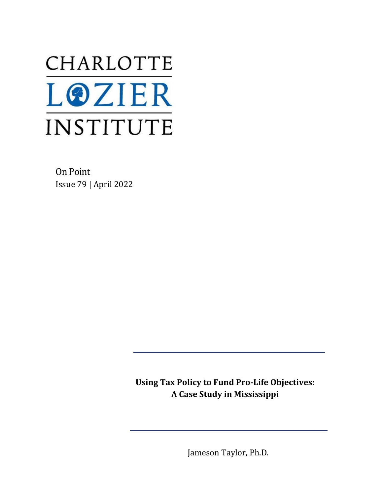# CHARLOTTE **LOZIER** INSTITUTE

On Point Issue 79 | April 2022

> **Using Tax Policy to Fund Pro-Life Objectives: A Case Study in Mississippi**

> > Jameson Taylor, Ph.D.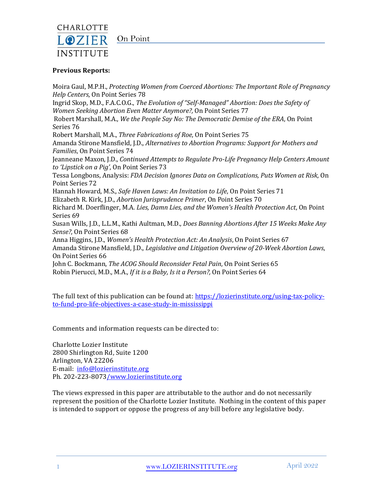

# On Point

#### **Previous Reports:**

Moira Gaul, M.P.H., *Protecting Women from Coerced Abortions: The Important Role of Pregnancy Help Centers*, On Point Series 78 Ingrid Skop, M.D., F.A.C.O.G., *The Evolution of "Self-Managed" Abortion: Does the Safety of Women Seeking Abortion Even Matter Anymore?,* On Point Series 77 Robert Marshall, M.A., *We the People Say No: The Democratic Demise of the ERA*, On Point Series 76 Robert Marshall, M.A., *Three Fabrications of Roe*, On Point Series 75 Amanda Stirone Mansfield, J.D., *Alternatives to Abortion Programs: Support for Mothers and Families*, On Point Series 74 Jeanneane Maxon, J.D., *Continued Attempts to Regulate Pro-Life Pregnancy Help Centers Amount to 'Lipstick on a Pig'*, On Point Series 73 Tessa Longbons, Analysis: *FDA Decision Ignores Data on Complications, Puts Women at Risk*, On Point Series 72 Hannah Howard, M.S., *Safe Haven Laws: An Invitation to Life*, On Point Series 71 Elizabeth R. Kirk, J.D., *Abortion Jurisprudence Primer*, On Point Series 70 Richard M. Doerflinger, M.A. *Lies, Damn Lies, and the Women's Health Protection Act*, On Point Series 69 Susan Wills, J.D., L.L.M., Kathi Aultman, M.D., *Does Banning Abortions After 15 Weeks Make Any Sense?*, On Point Series 68 Anna Higgins, J.D., *Women's Health Protection Act: An Analysis*, On Point Series 67 Amanda Stirone Mansfield, J.D., *Legislative and Litigation Overview of 20-Week Abortion Laws*, On Point Series 66 John C. Bockmann, *The ACOG Should Reconsider Fetal Pain*, On Point Series 65 Robin Pierucci, M.D., M.A., *If it is a Baby, Is it a Person?,* On Point Series 64

The full text of this publication can be found at: [https://lozierinstitute.org/using-tax-policy](https://lozierinstitute.org/using-tax-policy-to-fund-pro-life-objectives-a-case-study-in-mississippi)[to-fund-pro-life-objectives-a-case-study-in-mississippi](https://lozierinstitute.org/using-tax-policy-to-fund-pro-life-objectives-a-case-study-in-mississippi)

Comments and information requests can be directed to:

Charlotte Lozier Institute 2800 Shirlington Rd, Suite 1200 Arlington, VA 22206 E-mail: [info@lozierinstitute.org](mailto:info@lozierinstitute.org) Ph. 202-223-807[3/www.lozierinstitute.org](http://www.lozierinstitute.org/)

The views expressed in this paper are attributable to the author and do not necessarily represent the position of the Charlotte Lozier Institute. Nothing in the content of this paper is intended to support or oppose the progress of any bill before any legislative body.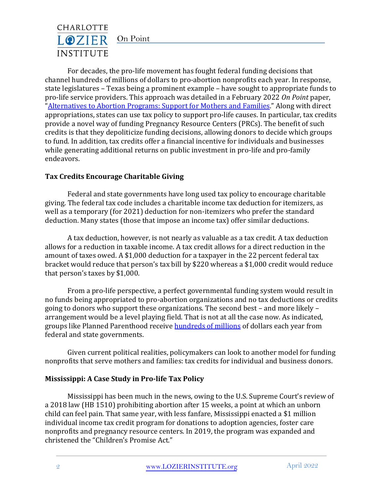# CHARLOTTE LOZIER On Point **INSTITUTE**

For decades, the pro-life movement has fought federal funding decisions that channel hundreds of millions of dollars to pro-abortion nonprofits each year. In response, state legislatures – Texas being a prominent example – have sought to appropriate funds to pro-life service providers. This approach was detailed in a February 2022 *On Point* paper, "[Alternatives to Abortion Programs: Support for Mothers and Families](https://lozierinstitute.org/alternatives-to-abortion-programs-support-for-mothers-and-families/)." Along with direct appropriations, states can use tax policy to support pro-life causes. In particular, tax credits provide a novel way of funding Pregnancy Resource Centers (PRCs). The benefit of such credits is that they depoliticize funding decisions, allowing donors to decide which groups to fund. In addition, tax credits offer a financial incentive for individuals and businesses while generating additional returns on public investment in pro-life and pro-family endeavors.

# **Tax Credits Encourage Charitable Giving**

Federal and state governments have long used tax policy to encourage charitable giving. The federal tax code includes a charitable income tax deduction for itemizers, as well as a temporary (for 2021) deduction for non-itemizers who prefer the standard deduction. Many states (those that impose an income tax) offer similar deductions.

A tax deduction, however, is not nearly as valuable as a tax credit. A tax deduction allows for a reduction in taxable income. A tax credit allows for a direct reduction in the amount of taxes owed. A \$1,000 deduction for a taxpayer in the 22 percent federal tax bracket would reduce that person's tax bill by \$220 whereas a \$1,000 credit would reduce that person's taxes by \$1,000.

From a pro-life perspective, a perfect governmental funding system would result in no funds being appropriated to pro-abortion organizations and no tax deductions or credits going to donors who support these organizations. The second best – and more likely – arrangement would be a level playing field. That is not at all the case now. As indicated, groups like Planned Parenthood receive **hundreds of millions** of dollars each year from federal and state governments.

Given current political realities, policymakers can look to another model for funding nonprofits that serve mothers and families: tax credits for individual and business donors.

#### **Mississippi: A Case Study in Pro-life Tax Policy**

Mississippi has been much in the news, owing to the U.S. Supreme Court's review of a 2018 law (HB 1510) prohibiting abortion after 15 weeks, a point at which an unborn child can feel pain. That same year, with less fanfare, Mississippi enacted a \$1 million individual income tax credit program for donations to adoption agencies, foster care nonprofits and pregnancy resource centers. In 2019, the program was expanded and christened the "Children's Promise Act."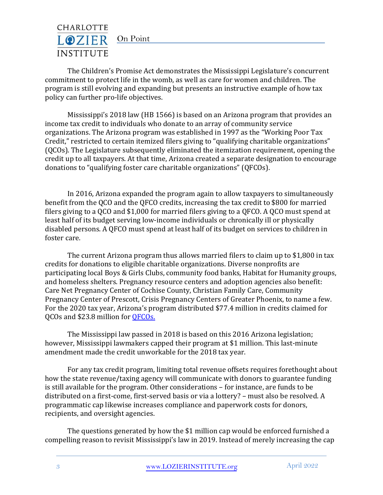

The Children's Promise Act demonstrates the Mississippi Legislature's concurrent commitment to protect life in the womb, as well as care for women and children. The program is still evolving and expanding but presents an instructive example of how tax policy can further pro-life objectives.

Mississippi's 2018 law (HB 1566) is based on an Arizona program that provides an income tax credit to individuals who donate to an array of community service organizations. The Arizona program was established in 1997 as the "Working Poor Tax Credit," restricted to certain itemized filers giving to "qualifying charitable organizations" (QCOs). The Legislature subsequently eliminated the itemization requirement, opening the credit up to all taxpayers. At that time, Arizona created a separate designation to encourage donations to "qualifying foster care charitable organizations" (QFCOs).

In 2016, Arizona expanded the program again to allow taxpayers to simultaneously benefit from the QCO and the QFCO credits, increasing the tax credit to \$800 for married filers giving to a QCO and \$1,000 for married filers giving to a QFCO. A QCO must spend at least half of its budget serving low-income individuals or chronically ill or physically disabled persons. A QFCO must spend at least half of its budget on services to children in foster care.

The current Arizona program thus allows married filers to claim up to \$1,800 in tax credits for donations to eligible charitable organizations. Diverse nonprofits are participating local Boys & Girls Clubs, community food banks, Habitat for Humanity groups, and homeless shelters. Pregnancy resource centers and adoption agencies also benefit: Care Net Pregnancy Center of Cochise County, Christian Family Care, Community Pregnancy Center of Prescott, Crisis Pregnancy Centers of Greater Phoenix, to name a few. For the 2020 tax year, Arizona's program distributed \$77.4 million in credits claimed for QCOs and \$23.8 million for [QFCOs.](https://azdor.gov/sites/default/files/media/REPORTS_CREDITS_2021_Arizona-Credit_History_Official-Release.pdf)

The Mississippi law passed in 2018 is based on this 2016 Arizona legislation; however, Mississippi lawmakers capped their program at \$1 million. This last-minute amendment made the credit unworkable for the 2018 tax year.

For any tax credit program, limiting total revenue offsets requires forethought about how the state revenue/taxing agency will communicate with donors to guarantee funding is still available for the program. Other considerations – for instance, are funds to be distributed on a first-come, first-served basis or via a lottery? – must also be resolved. A programmatic cap likewise increases compliance and paperwork costs for donors, recipients, and oversight agencies.

The questions generated by how the \$1 million cap would be enforced furnished a compelling reason to revisit Mississippi's law in 2019. Instead of merely increasing the cap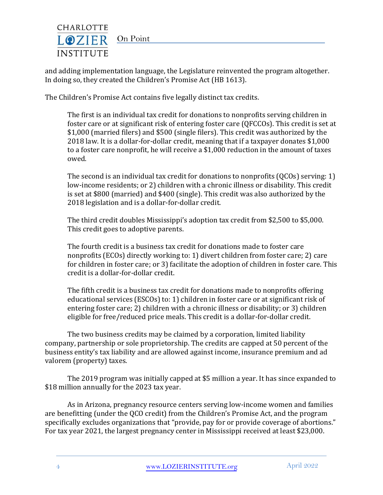

and adding implementation language, the Legislature reinvented the program altogether. In doing so, they created the Children's Promise Act (HB 1613).

The Children's Promise Act contains five legally distinct tax credits.

The first is an individual tax credit for donations to nonprofits serving children in foster care or at significant risk of entering foster care (QFCCOs). This credit is set at \$1,000 (married filers) and \$500 (single filers). This credit was authorized by the 2018 law. It is a dollar-for-dollar credit, meaning that if a taxpayer donates \$1,000 to a foster care nonprofit, he will receive a \$1,000 reduction in the amount of taxes owed.

The second is an individual tax credit for donations to nonprofits (QCOs) serving: 1) low-income residents; or 2) children with a chronic illness or disability. This credit is set at \$800 (married) and \$400 (single). This credit was also authorized by the 2018 legislation and is a dollar-for-dollar credit.

The third credit doubles Mississippi's adoption tax credit from \$2,500 to \$5,000. This credit goes to adoptive parents.

The fourth credit is a business tax credit for donations made to foster care nonprofits (ECOs) directly working to: 1) divert children from foster care; 2) care for children in foster care; or 3) facilitate the adoption of children in foster care. This credit is a dollar-for-dollar credit.

The fifth credit is a business tax credit for donations made to nonprofits offering educational services (ESCOs) to: 1) children in foster care or at significant risk of entering foster care; 2) children with a chronic illness or disability; or 3) children eligible for free/reduced price meals. This credit is a dollar-for-dollar credit.

The two business credits may be claimed by a corporation, limited liability company, partnership or sole proprietorship. The credits are capped at 50 percent of the business entity's tax liability and are allowed against income, insurance premium and ad valorem (property) taxes.

The 2019 program was initially capped at \$5 million a year. It has since expanded to \$18 million annually for the 2023 tax year.

As in Arizona, pregnancy resource centers serving low-income women and families are benefitting (under the QCO credit) from the Children's Promise Act, and the program specifically excludes organizations that "provide, pay for or provide coverage of abortions." For tax year 2021, the largest pregnancy center in Mississippi received at least \$23,000.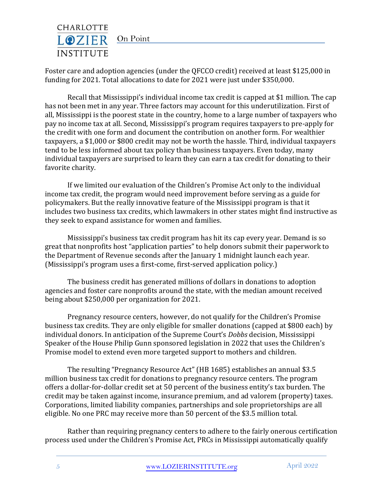

Foster care and adoption agencies (under the QFCCO credit) received at least \$125,000 in funding for 2021. Total allocations to date for 2021 were just under \$350,000.

Recall that Mississippi's individual income tax credit is capped at \$1 million. The cap has not been met in any year. Three factors may account for this underutilization. First of all, Mississippi is the poorest state in the country, home to a large number of taxpayers who pay no income tax at all. Second, Mississippi's program requires taxpayers to pre-apply for the credit with one form and document the contribution on another form. For wealthier taxpayers, a \$1,000 or \$800 credit may not be worth the hassle. Third, individual taxpayers tend to be less informed about tax policy than business taxpayers. Even today, many individual taxpayers are surprised to learn they can earn a tax credit for donating to their favorite charity.

If we limited our evaluation of the Children's Promise Act only to the individual income tax credit, the program would need improvement before serving as a guide for policymakers. But the really innovative feature of the Mississippi program is that it includes two business tax credits, which lawmakers in other states might find instructive as they seek to expand assistance for women and families.

Mississippi's business tax credit program has hit its cap every year. Demand is so great that nonprofits host "application parties" to help donors submit their paperwork to the Department of Revenue seconds after the January 1 midnight launch each year. (Mississippi's program uses a first-come, first-served application policy.)

The business credit has generated millions of dollars in donations to adoption agencies and foster care nonprofits around the state, with the median amount received being about \$250,000 per organization for 2021.

Pregnancy resource centers, however, do not qualify for the Children's Promise business tax credits. They are only eligible for smaller donations (capped at \$800 each) by individual donors. In anticipation of the Supreme Court's *Dobbs* decision, Mississippi Speaker of the House Philip Gunn sponsored legislation in 2022 that uses the Children's Promise model to extend even more targeted support to mothers and children.

The resulting "Pregnancy Resource Act" (HB 1685) establishes an annual \$3.5 million business tax credit for donations to pregnancy resource centers. The program offers a dollar-for-dollar credit set at 50 percent of the business entity's tax burden. The credit may be taken against income, insurance premium, and ad valorem (property) taxes. Corporations, limited liability companies, partnerships and sole proprietorships are all eligible. No one PRC may receive more than 50 percent of the \$3.5 million total.

Rather than requiring pregnancy centers to adhere to the fairly onerous certification process used under the Children's Promise Act, PRCs in Mississippi automatically qualify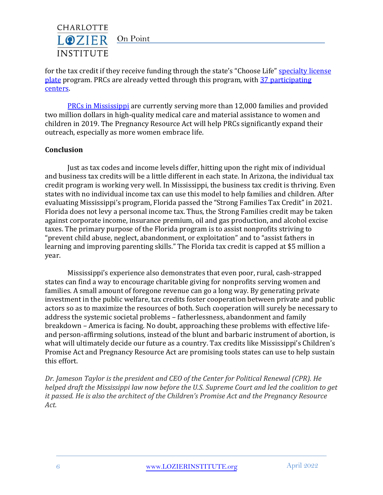

for the tax credit if they receive funding through the state's "Choose Life" specialty license [plate](https://lozierinstitute.org/fact-of-life-american-cars-and-their-drivers-exhibit-decidedly-more-pro-life-than-pro-choice-views-2/) program. PRCs are already vetted through this program, with [37 participating](https://www.chooselifems.org/pregnancy-centers/)  [centers.](https://www.chooselifems.org/pregnancy-centers/)

[PRCs in Mississippi](https://s27589.pcdn.co/wp-content/uploads/2021/06/2019-Mississippi-State-Impact-Report-2.pdf) are currently serving more than 12,000 families and provided two million dollars in high-quality medical care and material assistance to women and children in 2019. The Pregnancy Resource Act will help PRCs significantly expand their outreach, especially as more women embrace life.

# **Conclusion**

Just as tax codes and income levels differ, hitting upon the right mix of individual and business tax credits will be a little different in each state. In Arizona, the individual tax credit program is working very well. In Mississippi, the business tax credit is thriving. Even states with no individual income tax can use this model to help families and children. After evaluating Mississippi's program, Florida passed the "Strong Families Tax Credit" in 2021. Florida does not levy a personal income tax. Thus, the Strong Families credit may be taken against corporate income, insurance premium, oil and gas production, and alcohol excise taxes. The primary purpose of the Florida program is to assist nonprofits striving to "prevent child abuse, neglect, abandonment, or exploitation" and to "assist fathers in learning and improving parenting skills." The Florida tax credit is capped at \$5 million a year.

Mississippi's experience also demonstrates that even poor, rural, cash-strapped states can find a way to encourage charitable giving for nonprofits serving women and families. A small amount of foregone revenue can go a long way. By generating private investment in the public welfare, tax credits foster cooperation between private and public actors so as to maximize the resources of both. Such cooperation will surely be necessary to address the systemic societal problems – fatherlessness, abandonment and family breakdown – America is facing. No doubt, approaching these problems with effective lifeand person-affirming solutions, instead of the blunt and barbaric instrument of abortion, is what will ultimately decide our future as a country. Tax credits like Mississippi's Children's Promise Act and Pregnancy Resource Act are promising tools states can use to help sustain this effort.

*Dr. Jameson Taylor is the president and CEO of the Center for Political Renewal (CPR). He helped draft the Mississippi law now before the U.S. Supreme Court and led the coalition to get it passed. He is also the architect of the Children's Promise Act and the Pregnancy Resource Act.*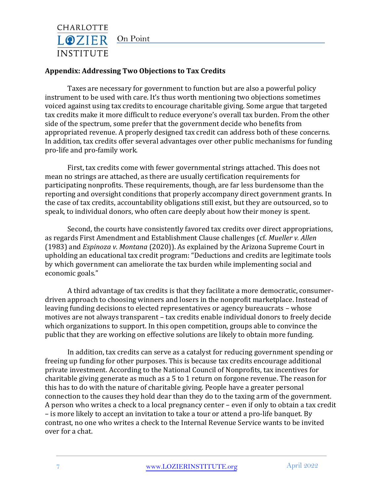

### **Appendix: Addressing Two Objections to Tax Credits**

Taxes are necessary for government to function but are also a powerful policy instrument to be used with care. It's thus worth mentioning two objections sometimes voiced against using tax credits to encourage charitable giving. Some argue that targeted tax credits make it more difficult to reduce everyone's overall tax burden. From the other side of the spectrum, some prefer that the government decide who benefits from appropriated revenue. A properly designed tax credit can address both of these concerns. In addition, tax credits offer several advantages over other public mechanisms for funding pro-life and pro-family work.

First, tax credits come with fewer governmental strings attached. This does not mean no strings are attached, as there are usually certification requirements for participating nonprofits. These requirements, though, are far less burdensome than the reporting and oversight conditions that properly accompany direct government grants. In the case of tax credits, accountability obligations still exist, but they are outsourced, so to speak, to individual donors, who often care deeply about how their money is spent.

Second, the courts have consistently favored tax credits over direct appropriations, as regards First Amendment and Establishment Clause challenges (cf. *Mueller v. Allen* (1983) and *Espinoza v. Montana* (2020)). As explained by the Arizona Supreme Court in upholding an educational tax credit program: "Deductions and credits are legitimate tools by which government can ameliorate the tax burden while implementing social and economic goals."

A third advantage of tax credits is that they facilitate a more democratic, consumerdriven approach to choosing winners and losers in the nonprofit marketplace. Instead of leaving funding decisions to elected representatives or agency bureaucrats – whose motives are not always transparent – tax credits enable individual donors to freely decide which organizations to support. In this open competition, groups able to convince the public that they are working on effective solutions are likely to obtain more funding.

In addition, tax credits can serve as a catalyst for reducing government spending or freeing up funding for other purposes. This is because tax credits encourage additional private investment. According to the National Council of Nonprofits, tax incentives for charitable giving generate as much as a 5 to 1 return on forgone revenue. The reason for this has to do with the nature of charitable giving. People have a greater personal connection to the causes they hold dear than they do to the taxing arm of the government. A person who writes a check to a local pregnancy center – even if only to obtain a tax credit – is more likely to accept an invitation to take a tour or attend a pro-life banquet. By contrast, no one who writes a check to the Internal Revenue Service wants to be invited over for a chat.